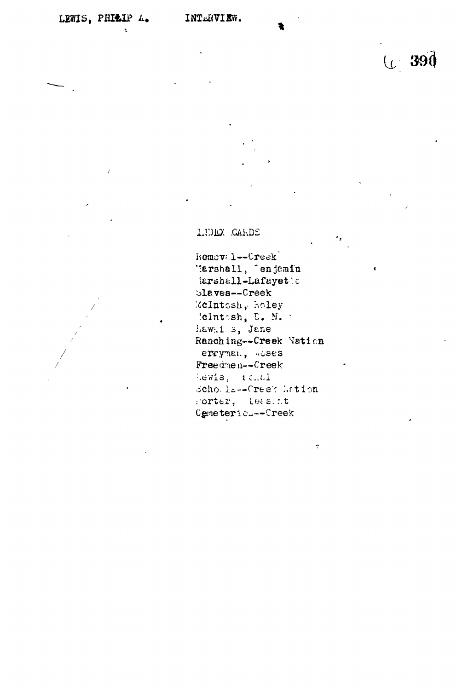$\overline{I}$ 

U 390

LUDEX .CAKDE

hemoval--Creek' '\*er3hall, "enjemln iarshall-Lafayetto bleves—Creek McIntosh, Holey !clnt-sh, E. N. ' hawni s, Jane Ranching--Creek Nation errynen, acses Free drne n—Creek  $l.eals, i c.d.$ scho. li--Creek Attion Forter, leasint Cemeteric<sub>---</sub>Creek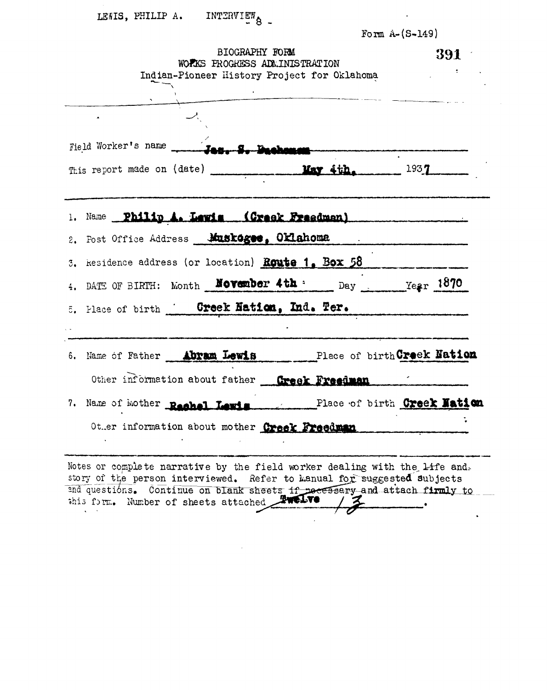|  | LEWIS, PHILIP A. |  | INTERVIEW |
|--|------------------|--|-----------|
|--|------------------|--|-----------|

| Form $A - (S - 149)$ |  |  |  |  |  |
|----------------------|--|--|--|--|--|
|----------------------|--|--|--|--|--|

 $\hat{\mathbf{z}}$ 

| BIOGRAPHY FORM<br>WORKS PROGRESS ADMINISTRATION<br>Indian-Pioneer History Project for Oklahoma | 391<br>$\mathcal{L}^{\text{max}}_{\text{max}}$ |  |
|------------------------------------------------------------------------------------------------|------------------------------------------------|--|
|                                                                                                |                                                |  |
|                                                                                                |                                                |  |
| This report made on (date) May 4th. 1937                                                       |                                                |  |
| 1. Name Philip A. Lewis (Creek Freedman)                                                       |                                                |  |
| 2. Post Office Address Muskages, Oklahoma                                                      |                                                |  |
| 3. kesidence address (or location) <b>Route 1. Box 58</b>                                      |                                                |  |
| 4. DATE OF BIRTH: Month <b>November 4th</b> : Day $\frac{1870}{1600}$                          |                                                |  |
| 5. Place of birth <b>Creek Nation, Ind. Ter.</b> 1988.                                         |                                                |  |
| 6. Name of Father Abram Lewis Place of birth Creek Nation                                      |                                                |  |
| Other information about father Greek Freedman                                                  |                                                |  |
| 7. Name of Mother Rachel Lewis Place of birth Creek Nation                                     |                                                |  |
| Other information about mother Creek Freedman                                                  |                                                |  |
| Notes or complete narrative by the field worker dealing with the life and.                     |                                                |  |

story of the person interviewed. Refer to kanual for suggested subjects 2nd questi6ns. this form. Number of sheets attached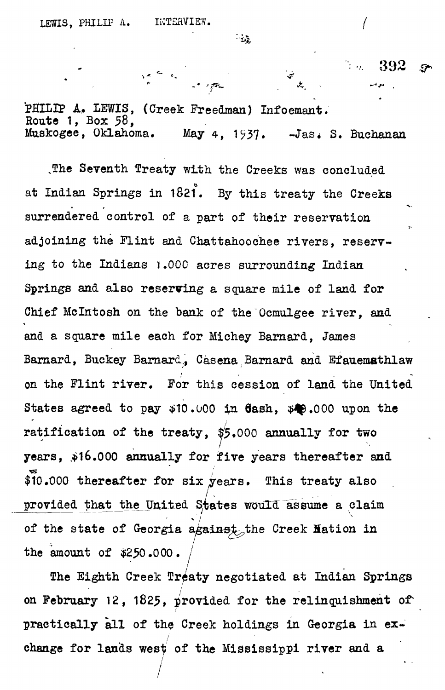ra a la component

 $\mathcal{L}_{\mathcal{G}_{\mathcal{F}}}$ 

 $\mathcal{L}$ 

 $392$ 

牙

PHILIP A. LEWIS, (Creek Freedman) Infoemant. **Route 1, Box 58, Muskogee, Oklahoma. May 4, 1?37. -Jas< S. Buchanan**

The Seventh Treaty with the Creeks was concluded **at Indian Springs in 1821\*. By this treaty the Creeks surrendered control of a part of their reservation adjoining the Flint and Chattahoochee rivers, reserving to the Indians i .000 acres surrounding Indian Springs and also reserving a square mile of land for Chief Mclntosh on the bank of the Ocmulgee river, and and a square mile each for Michey Barnard, James Barnard, Buckey Barnard., Casena Barnard and Efauemathlaw on the Flint river. For this cession of land the United** States agreed to pay  $\psi$ 10.000 in **dash,**  $\psi$ **e.000** upon the **ratification of the treaty, #5.000 annually for two** years, \$16.000 annually for five years thereafter and \$10.000 thereafter for six years. This treaty also provided that the United States would assume a claim of the state of Georgia against<sub>o</sub>the Creek Hation in **the amount of \$2^0.000. /**

**The Eighth Creek Treaty negotiated at Indian Springs on February 12, 1825, provided for the relinquishment of" practically all of the Creek holdings in Georgia in exchange for lands west of the Mississippi river and a**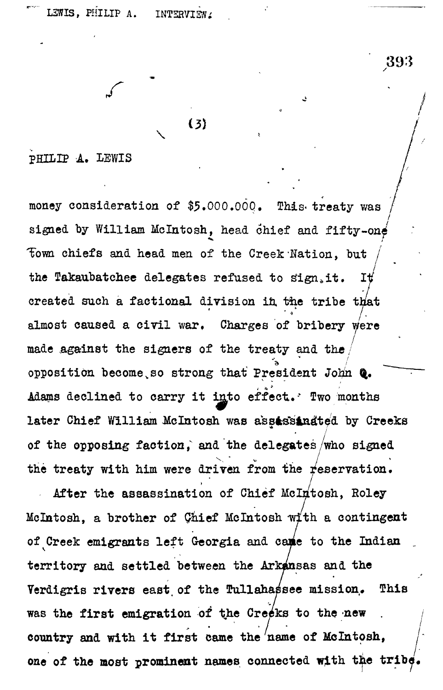**r** 

**\**

 $\{3\}$ 

**PHILIP A. LEWIS**

money consideration of \$5.000.000. This treaty was signed by William McIntosh, head chief and fifty-one **Town chiefs and head men of the Creek Nation, but /** the Takaubatchee delegates refused to sign<sub>i</sub>it. It **7** created such a factional division in the tribe that **I- almost caused a civil war. Charges of bribery Were** made against the signers of the treaty and the opposition become so strong that President John Q. Adams declined to carry it into effect. Two months later Chief William McIntosh was ass**assinated** by Creeks later Chief William McChief Chief William March William State William State William State William State Chief W<br>And Creek will be controlled by Creeks and Chief William State Chief William State Chief William State Chief C **/** the treaty with him were driven from the reservation.

,393

After the assassination of Chief McIntosh Roley **/** McIntosh, a brother of Chief McIntosh with a contingent of Creek emigrants left Georgia and came to the Indian territory and settled between the Arkansas and the Verdigris rivers east of the **Tullahassee** mission. This was the first emigration of the Creeks to the new  $\mathcal{L}$  is the first emigration of the  $\mathcal{L}$   $\mathcal{L}$  is the new  $\mathcal{L}$  $\frac{1}{2}$   $\frac{1}{2}$   $\frac{1}{2}$   $\frac{1}{2}$   $\frac{1}{2}$   $\frac{1}{2}$   $\frac{1}{2}$   $\frac{1}{2}$   $\frac{1}{2}$   $\frac{1}{2}$   $\frac{1}{2}$   $\frac{1}{2}$   $\frac{1}{2}$   $\frac{1}{2}$   $\frac{1}{2}$   $\frac{1}{2}$   $\frac{1}{2}$   $\frac{1}{2}$   $\frac{1}{2}$   $\frac{1}{2}$   $\frac{1}{2}$   $\frac{1}{2}$  one of the most prominent names connected with the tribe

**one of the most prominent names connected with the tribe\***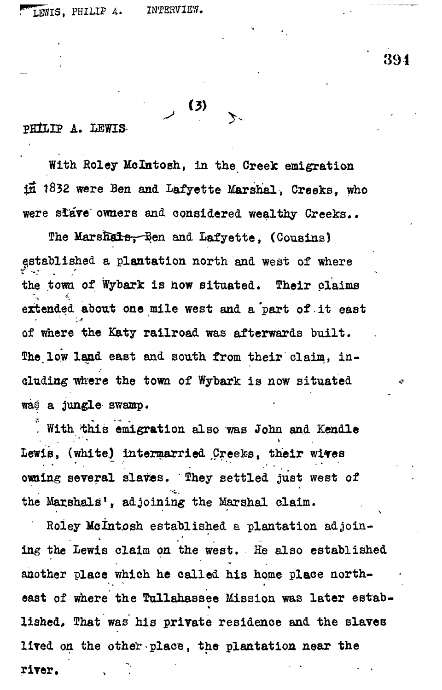PHILIP A. LEWIS-

**With Roley Mclntosh, in the. Creek emigration**  $\overrightarrow{11}$  1832 were Ben and Lafyette Marshal, Creeks, who **were sfare owners and considered wealthy Creeks..**

**, (3)**

The Marshals, Ren and Lafyette, (Cousins) **established a plantation north and west of where the town of Wybark is how situated. Their claims 4, extended about one mile west and a 'part of. it east of where the KJaty railroad was afterwards built.** The low land east and south from their claim, ineluding where the town of Wybark is now situated **wa§ a jungle swamp.**

With this emigration also was John and Kendle **Lewis, (white,) intermarried ^Creeks, their wi^res** owning several slaves. They settled just west of **the Marshals<sup>1</sup> , adjoining the Marshal claim.**

**Roiey Mclnt.osh established a plantation adjoining the Lewis claim on the west. His also established another place which he called his home place north**east of where the **Tullahassee Mission was later estab**lished, That was his private residence and the slaves **lived on the other place, the plantation near the** *r r r r r r r r r r r r r r r r*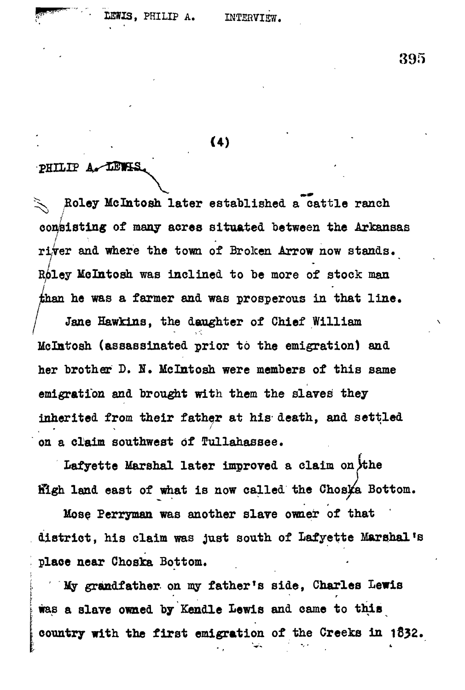$(4)$ 

#### PHILIP A LEWIS

**^s Boley Mclhtosh later established a cattle ranch consisting of many acres situated between the Arkansas** river and where the town of Broken Arrow now stands. **Roley Mo In tosh was inclined to be more of stock man than he was a farmer and was prosperous in that line.**

Jane Hawkins, the daughter of Chief William **Mclatosh (assassinated prior to the emigration) and her brother D. N. Mclntosh were members of this same emigration and brought with them the slaves they inherited from their father at his- death, and settled on a claim southwest of Tullahassee.**

Lafyette Marshal later improved a claim on the **filgh land east of what is now called the Choska Bottom.** 

**Hose Perryman was another slave owner of that district, his claim was just south of Lafyette Marshal's place near Choska Bottom.**

**i My grandfather on my father's side, Charles Lewis was a slave owned by Kendle Lewis and came to this country with the first emigration of the Creeks in 1832.**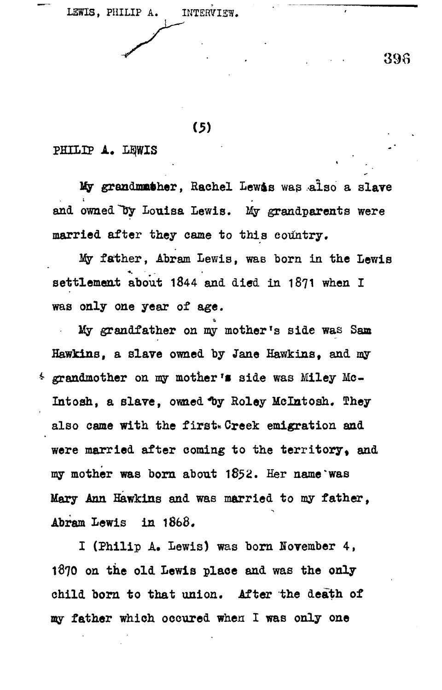LEWIS, PHILIP A. INTERVIEW.

398

 $(5)$ 

#### **PHILIP A. L£|WIS .**

My grandmather, Rachel Lewis was also a slave and owned by Louisa Lewis. My grandparents were **married after they came to this country.**

My father, Abram Lewis, was born in the Lewis **settlement about 1844 and died in 1871 when I was only one year of age.**

**My grandfather on my mother<sup>T</sup>s side was Saa Hawkins, a slave owned by Jane Hawkins, and my grandmother on my mother \*• side was Miley Me-Intosh, a slave, owned ^y Roley Melntosh, They** also came with the first. Creek emigration and were married after coming to the territory, and **my mother was born about 1852. Her name \* was** Mary Ann Hawkins and was married to my father. **Abram Lewis in 186B«**

**I (Philip A» Lewis) was born November 4, 1870 on the old Lewis place and was the only child born to that union. After the death of my father which occured when I was only one**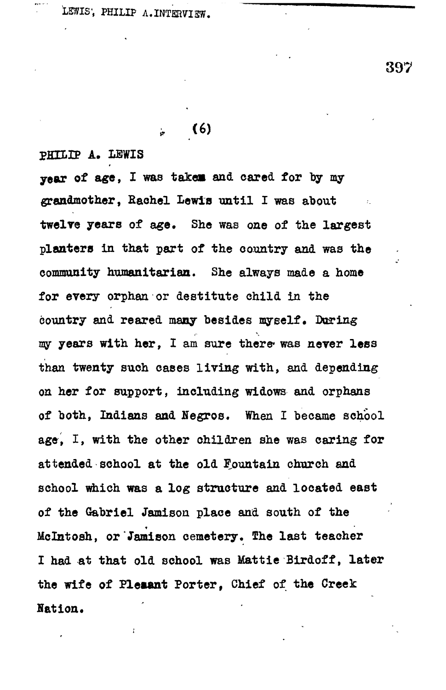LEWIS', PHILIP A.INTERVIEW.

**397**

# **> (6)**

**PHH.IP A. IBWIS**

**year of age, I was takes and cared for by my grandmother, Rachel Lewis until I was about twelve years of age. She was one of the largest planters in that part of the country and was the community humanitarian. She always made a home for every orphan or destitute child in the** country and reared many besides myself. During **ray years with her, I am sure there\* was never less than twenty such cases living with, and depending on her for support, including widows and orphans of both, Indians and Hegros. When I became school age, I, with the other children she was caring for attended school at the old Fountain church and school which was a log structure and located east of the Gabriel Jamison place and south of the Mclntosh, or Jamison cemetery. The last teacher I had at that old school was Mattie Birdoff, later the wife of Pleaant Porter, Chief of the Creek Nation.**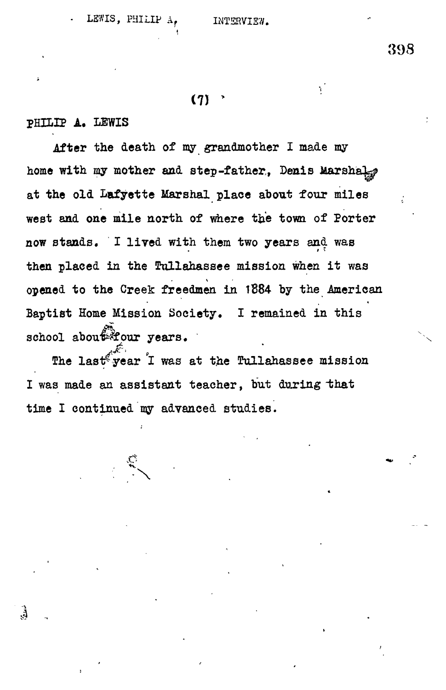# **(71 >**

## **PHILIP A. LEWIS**

**After the death of my grandmother I made my** home with my mother and step-father, Denis Marshal<sub>n</sub>p **at the old Lafyette Marshal place about four miles** west and one mile north of where the town of Porter **now stands. I lived with them two years and was** then placed in the Tullahassee mission when it was **opened to the Creek freedmen in 1884 by the American «** Baptist Home Mission Society. I remained in this school about four years.

The last<sup>eb</sup>year I was at the Tullahassee mission I was made an assistant teacher, but during that time I continued my advanced studies.

**time I continued my advanced studies.**

\*y.

Ġ,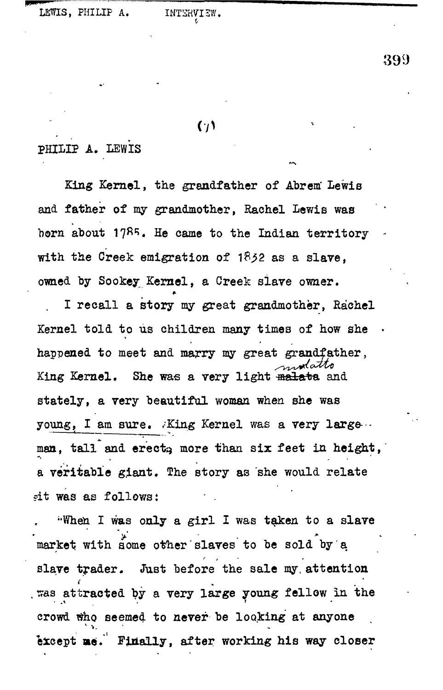### $(1)$

## **PHILIP A, LEWIS**

**King Kernel, the grandfather of Abrem' Lewis and father of my grandmother, Rachel Lewis was born about 17RI>« He came to the Indian territory with the Creek emigration of 1S^2 as a slave, owned by Sookey; Kernel, a Creek slave owner.**

**I recall a story my great grandmother, Rachel** Kernel told to us children many times of how she **happened to meet and marry my great grandfather,** King Kernel. She was a very light malata and **stately, a very beautiful woman when she was young, I am sure. King Kernel was a very large...** man, tall and erect<sub>3</sub> more than six feet in height, a veritable giant. The story as she would relate **?it was as follows: • ,**

**"When I was only a girl I was taken to a slave market with some other slaves to be sold by a slave trader. Just before the sale my. attention . sras attracted by a very large young fellow in the crowd tfho seemed to never be looking at anyone eicept me. Finally, after working his way closer**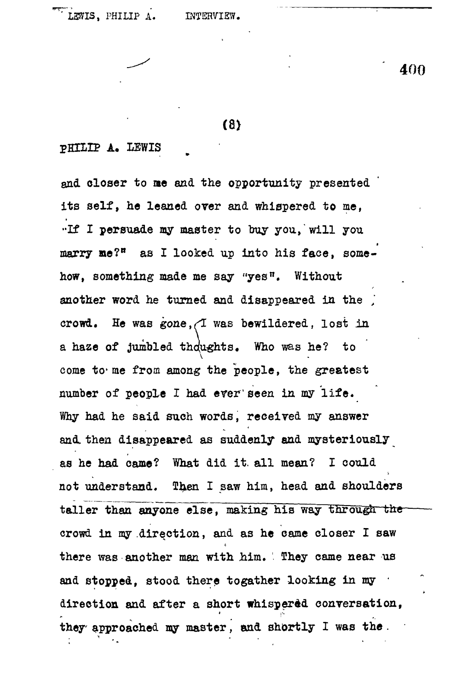#### **(8)**

#### **PHILIP A. LEWIS**

**and closer to me and the opportunity presented its self, he leaned over and whispered to me, ••If I persuade my master to buy you, will you marry ne?<sup>B</sup> as I looked up into his face, somehow, something made me say "yes". Without another word he turned and disappeared in the ] crowd. He was gone,^I was bewildered, lost In a haze of jumbled thoughts. Who was he? to** come to me from among the people, the greatest **number of people I had ever'seen in my life. Why had he said such words, received my answer and. then disappeared as suddenly and mysteriously as he had came? What did it. all mean? I could not understand. Then I saw him, head and shoulders** taller than anyone else, making his way through the **crowd in my .direction, and as he came closer I saw there was another man with him. They came near us** and stopped, stood there togather looking in my **direction and after a short whispered conversation, they approached my master, and shortly I was the .**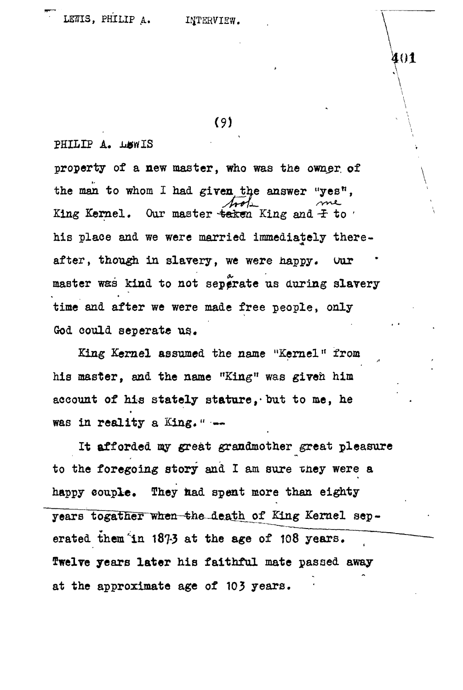**(9)**

PHILIP A. LEWIS

**property of a new master, who was the owner, of** the man to whom I had given the answer "yes", King Kernel. Our master taken King and  $\pm$  to ' **his place and we were married immediately thereafter, though in slavery, we were happy, uur** master was kind to not seperate us during slavery **time and after we were made free people, only God could seperate us..**

**King Kernel assumed the name "Kernel" from his master, and the name "King" was given him** account of his stately stature, but to me, he **was in reality a King. •• —**

**It afforded my great grandmother great pleasure** to the foregoing story and I am sure they were a **happy couple. They fead spent more than eighty** years togather when the death of King Kernel seperated them 'in 1873 at the age of 108 years. Twelve years later his faithful mate passed away at the approximate age of 103 years.

401

**\** 1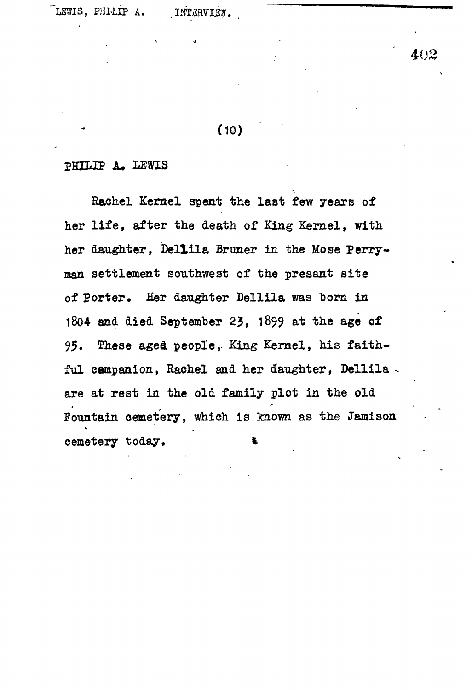# **(10)**

#### **PHILIP A, LEWIS**

**Rachel Kernel spent the last few years of her life, after the death of King Kernel, with** her daughter, Dellila Bruner in the Mose Perry**man settlement southwest of the presant site** of Porter. Her daughter Dellila was born in **1804 and died September 23, 1&99 at the age of 95. These aged peopler King Kernel, his faithful campanion, Rachel and her daughter, Dellila are at rest in the old family plot in the old Fountain cemetery, which is known as the Jamison** cemetery today.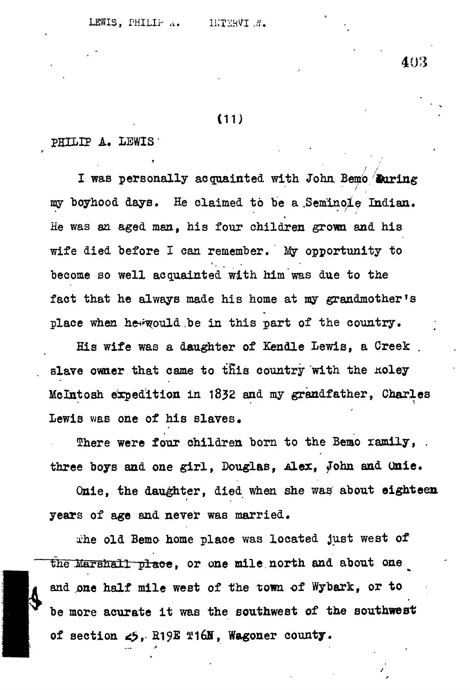#### **(11)**

#### **PHILIP A. LEWIS'**

I was personally acquainted with John Bemo **Ruring** my boyhood days. He claimed to be a Seminole Indian. **He was an aged man, his four children grown and his wife died before I can remember. My opportunity to become so well acquainted with him was due to the fact that he always made his home at my grandmother's** place when hew would be in this part of the country.

**His wife was a daughter of Xendle Lewis, a Creek .** slave owner that came to this country with the Roley **Mclntosh expedition in 1832 and my grandfather, Charles** Lewis was one of his slaves.

**There were four children born to the Beao ramily, . three boys and one girl, Douglas, Alex, John and Onie.**

**Qnie, the daughter, died when she was about eighteen years of age and never was married.**

**xhe old Bemo home place was located just west of** the Marshall place, or one mile north and about one **and one half mile west of the town of Wybark, or to be more acurate it was the southwest of the southwest** of section  $\epsilon$ 5, R19E T16N, Wagoner county.